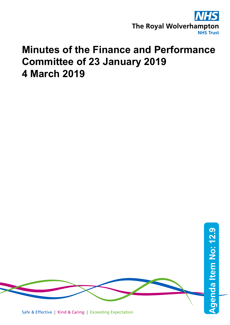

## **Minutes of the Finance and Performance Committee of 23 January 2019 4 March 2019**

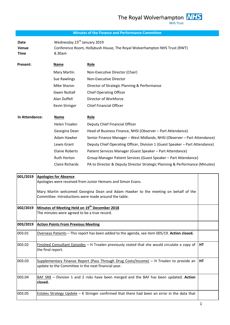## **Minutes of the Finance and Performance Committee**

**Date** Wednesday 23<sup>rd</sup> January 2019 **Venue** Conference Room, Hollybush House, The Royal Wolverhampton NHS Trust (RWT) **Time** 8.30am

| Present:       | <b>Name</b>         | <b>Role</b>                                  |
|----------------|---------------------|----------------------------------------------|
|                | Mary Martin         | Non-Executive Director (Chair)               |
|                | Sue Rawlings        | Non-Executive Director                       |
|                | Mike Sharon         | Director of Strategic Planning & Performance |
|                | <b>Gwen Nuttall</b> | <b>Chief Operating Officer</b>               |
|                | Alan Duffell        | Director of Workforce                        |
|                | Kevin Stringer      | <b>Chief Financial Officer</b>               |
|                |                     |                                              |
| In Attendance: | Name                | Role                                         |

| Helen Troalen      | Deputy Chief Financial Officer                                               |
|--------------------|------------------------------------------------------------------------------|
| Georgina Dean      | Head of Business Finance, NHSI (Observer - Part Attendance)                  |
| Adam Hawker        | Senior Finance Manager - West Midlands, NHSI (Observer - Part Attendance)    |
| Lewis Grant        | Deputy Chief Operating Officer, Division 1 (Guest Speaker - Part Attendance) |
| Elaine Roberts     | Patient Services Manager (Guest Speaker - Part Attendance)                   |
| <b>Ruth Horton</b> | Group Manager Patient Services (Guest Speaker - Part Attendance)             |
| Claire Richards    | PA to Director & Deputy Director Strategic Planning & Performance (Minutes)  |

| 001/2019 | <b>Apologies for Absence</b><br>Apologies were received from Junior Hemans and Simon Evans.                                                    |           |  |
|----------|------------------------------------------------------------------------------------------------------------------------------------------------|-----------|--|
|          | Mary Martin welcomed Georgina Dean and Adam Hawker to the meeting on behalf of the<br>Committee, Introductions were made around the table.     |           |  |
| 002/2019 | Minutes of Meeting Held on 19 <sup>th</sup> December 2018<br>The minutes were agreed to be a true record.                                      |           |  |
| 003/2019 | <b>Action Points From Previous Meeting</b>                                                                                                     |           |  |
| 003.01   | Overseas Patients - This report has been added to the agenda, see item 005/19. Action closed.                                                  |           |  |
| 003.02   | Finished Consultant Episodes - H Troalen previously stated that she would circulate a copy of<br>the final report.                             | <b>HT</b> |  |
| 003.03   | Supplementary Finance Report (Pass Through Drug Costs/Income) – H Troalen to provide an<br>update to the Committee in the next financial year. | <b>HT</b> |  |
| 003.04   | BAF SR8 - Division 1 and 2 risks have been merged and the BAF has been updated. Action<br>closed.                                              |           |  |
| 003.05   | Estates Strategy Update - K Stringer confirmed that there had been an error in the data that                                                   |           |  |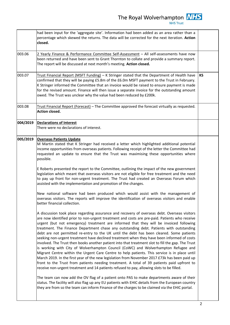| $\frac{1}{2}$ Noval Wolverhampton $\frac{1}{2}$<br><b>NHS Trust</b>                                                               |    |
|-----------------------------------------------------------------------------------------------------------------------------------|----|
| ormation had been added as an area rather than a<br>data will be corrected for the next iteration. Action                         |    |
| e Self-Assessment – All self-assessments have now<br>Thornton to collate and provide a summary report.<br>meeting. Action closed. |    |
| Stringer stated that the Department of Health have<br>the CC Om MCFT normant to the Trust in February                             | KS |

|          | had been input for the 'aggregate site'. Information had been added as an area rather than a<br>percentage which skewed the returns. The data will be corrected for the next iteration. Action<br>closed.                                                                                                                                                                                                                                                                                                                                                                                                                                                                                                                                                                                                                                                                                                                                                                                                                                                                                                                                                             |    |
|----------|-----------------------------------------------------------------------------------------------------------------------------------------------------------------------------------------------------------------------------------------------------------------------------------------------------------------------------------------------------------------------------------------------------------------------------------------------------------------------------------------------------------------------------------------------------------------------------------------------------------------------------------------------------------------------------------------------------------------------------------------------------------------------------------------------------------------------------------------------------------------------------------------------------------------------------------------------------------------------------------------------------------------------------------------------------------------------------------------------------------------------------------------------------------------------|----|
| 003.06   | 2 Yearly Finance & Performance Committee Self-Assessment - All self-assessments have now<br>been returned and have been sent to Grant Thornton to collate and provide a summary report.<br>The report will be discussed at next month's meeting. Action closed.                                                                                                                                                                                                                                                                                                                                                                                                                                                                                                                                                                                                                                                                                                                                                                                                                                                                                                       |    |
| 003.07   | Trust Financial Report (MSFT Funding) - K Stringer stated that the Department of Health have<br>confirmed that they will be paying £5.8m of the £6.0m MSFT payment to the Trust in February.<br>K Stringer informed the Committee that an invoice would be raised to ensure payment is made<br>for the revised amount. Finance will then issue a separate invoice for the outstanding amount<br>owed. The Trust was unclear why the value had been reduced by £200k.                                                                                                                                                                                                                                                                                                                                                                                                                                                                                                                                                                                                                                                                                                  | KS |
| 003.08   | Trust Financial Report (Forecast) - The Committee approved the forecast virtually as requested.<br><b>Action closed.</b>                                                                                                                                                                                                                                                                                                                                                                                                                                                                                                                                                                                                                                                                                                                                                                                                                                                                                                                                                                                                                                              |    |
| 004/2019 | <b>Declarations of Interest</b><br>There were no declarations of interest.                                                                                                                                                                                                                                                                                                                                                                                                                                                                                                                                                                                                                                                                                                                                                                                                                                                                                                                                                                                                                                                                                            |    |
| 005/2019 | <b>Overseas Patients Update</b><br>M Martin stated that K Stringer had received a letter which highlighted additional potential<br>income opportunities from overseas patients. Following receipt of the letter the Committee had<br>requested an update to ensure that the Trust was maximising these opportunities where<br>possible.<br>E Roberts presented the report to the Committee, outlining the impact of the new government                                                                                                                                                                                                                                                                                                                                                                                                                                                                                                                                                                                                                                                                                                                                |    |
|          | legislation which meant that overseas visitors are not eligible for free treatment and the need<br>to pay up front for non-urgent treatment. The Trust had created an Overseas Forum which<br>assisted with the implementation and promotion of the changes.                                                                                                                                                                                                                                                                                                                                                                                                                                                                                                                                                                                                                                                                                                                                                                                                                                                                                                          |    |
|          | New national software had been produced which would assist with the management of<br>overseas visitors. The reports will improve the identification of overseas visitors and enable<br>better financial collection.                                                                                                                                                                                                                                                                                                                                                                                                                                                                                                                                                                                                                                                                                                                                                                                                                                                                                                                                                   |    |
|          | A discussion took place regarding assurance and recovery of overseas debt. Overseas visitors<br>are now identified prior to non-urgent treatment and costs are pre-paid. Patients who receive<br>urgent (but not emergency) treatment are informed that they will be invoiced following<br>treatment. The Finance Department chase any outstanding debt. Patients with outstanding<br>debt are not permitted re-entry to the UK until the debt has been cleared. Some patients<br>seeking non-urgent treatment have declined treatment when they have been informed of costs<br>involved. The Trust then books another patient into that treatment slot to fill the gap. The Trust<br>is working with City of Wolverhampton Council (CoWC) and Wolverhampton Refugee and<br>Migrant Centre within the Urgent Care Centre to help patients. This service is in place until<br>March 2019. In the first year of the new legislation from November 2017 £73k has been paid up<br>front to the Trust from patients needing treatment. A total of 39 patients paid upfront to<br>receive non-urgent treatment and 14 patients refused to pay, allowing slots to be filled. |    |
|          | The team can now add the OV flag of a patient onto PAS to make departments aware of their<br>status. The facility will also flag up any EU patients with EHIC details from the European country<br>they are from so the team can inform Finance of the charges to be claimed via the EHIC portal.                                                                                                                                                                                                                                                                                                                                                                                                                                                                                                                                                                                                                                                                                                                                                                                                                                                                     |    |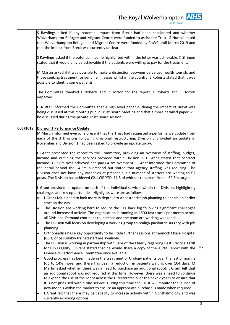|          | S Rawlings asked if any potential impact from Brexit had been considered and whether<br>Wolverhampton Refugee and Migrant Centre were funded to assist the Trust. G Nuttall stated<br>that Wolverhampton Refugee and Migrant Centre were funded by CoWC until March 2019 and<br>that the impact from Brexit was currently unclear.                                                                                                                                                                                                                                                                                                                                                                                                                                      |    |
|----------|-------------------------------------------------------------------------------------------------------------------------------------------------------------------------------------------------------------------------------------------------------------------------------------------------------------------------------------------------------------------------------------------------------------------------------------------------------------------------------------------------------------------------------------------------------------------------------------------------------------------------------------------------------------------------------------------------------------------------------------------------------------------------|----|
|          | S Rawlings asked if the potential income highlighted within the letter was achievable. K Stringer<br>stated that it would only be achievable if the patients were willing to pay for the treatment.                                                                                                                                                                                                                                                                                                                                                                                                                                                                                                                                                                     |    |
|          | M Martin asked if it was possible to make a distinction between perceived health tourists and<br>those seeking treatment for genuine illnesses whilst in the country. E Roberts stated that it was<br>possible to identify some patients.                                                                                                                                                                                                                                                                                                                                                                                                                                                                                                                               |    |
|          | The Committee thanked E Roberts and R Horton for the report. E Roberts and R Horton<br>departed.                                                                                                                                                                                                                                                                                                                                                                                                                                                                                                                                                                                                                                                                        |    |
|          | G Nuttall informed the Committee that a high level paper outlining the impact of Brexit was<br>being discussed at this month's public Trust Board Meeting and that a more detailed paper will<br>be discussed during the private Trust Board session.                                                                                                                                                                                                                                                                                                                                                                                                                                                                                                                   |    |
| 006/2019 | <b>Division 1 Performance Update</b><br>M Martin informed everyone present that the Trust had requested a performance update from<br>each of the 3 Divisions following divisional restructuring. Division 3 provided an update in<br>November and Division 1 had been asked to provide an update today.                                                                                                                                                                                                                                                                                                                                                                                                                                                                 |    |
|          | L Grant presented the report to the Committee, providing an overview of staffing, budget,<br>income and outlining the services provided within Division 1. L Grant stated that contract<br>income is £3.6m over achieved and pay £4.3m overspent. L Grant informed the Committee of<br>the detail behind the £4.3m overspend but stated that agency staffing was reducing. The<br>Division does not have any vacancies at present but a number of starters are waiting to fill<br>posts. The Division has achieved £2.1 CIP YTD, £1.3 of which is recurrent from a £9.8m target.                                                                                                                                                                                        |    |
|          | L Grant provided an update on each of the individual services within the Division, highlighting<br>challenges and key opportunities. Highlights were are as follows:                                                                                                                                                                                                                                                                                                                                                                                                                                                                                                                                                                                                    |    |
|          | L Grant felt a need to look more in depth into Anaesthetist job planning to enable an earlier<br>$\bullet$<br>start on the day.                                                                                                                                                                                                                                                                                                                                                                                                                                                                                                                                                                                                                                         |    |
|          | The Division are working hard to reduce the RTT back log following significant challenges<br>$\bullet$<br>around increased activity. The organisation is running at 1500 fast tracks per month across<br>all Divisions. Demand continues to increase and the team are working weekends.                                                                                                                                                                                                                                                                                                                                                                                                                                                                                 |    |
|          | The Division will focus on developing a working group to realign paediatric surgery with job<br>$\bullet$                                                                                                                                                                                                                                                                                                                                                                                                                                                                                                                                                                                                                                                               |    |
|          | planning.<br>Orthopaedics has a key opportunity to facilitate further sessions at Cannock Chase Hospital<br>٠<br>(CCH) once suitably trained staff are available.                                                                                                                                                                                                                                                                                                                                                                                                                                                                                                                                                                                                       |    |
|          | The Division is working in partnership with Care of the Elderly regarding Best Practice Tariff<br>$\bullet$<br>for Hip Fragility. L Grant stated that he would share a copy of the Audit Report with the<br>Finance & Performance Committee once available.                                                                                                                                                                                                                                                                                                                                                                                                                                                                                                             | LG |
|          | Good progress has been made in the treatment of Urology patients over the last 6 months<br>٠<br>(up to 14% more) and there has been a reduction in patients waiting over 104 days. M<br>Martin asked whether there was a need to purchase an additional robot. L Grant felt that<br>an additional robot was not required at this time. However, there was a need to continue<br>to expand the use of the robot across the Directorates over the next 2 years to ensure that<br>it is not just used within one service. During this time the Trust will monitor the launch of<br>new models within the market to ensure an appropriate purchase is made when required.<br>L Grant felt that there may be capacity to increase activity within Ophthalmology and was<br>٠ |    |
|          | currently exploring options.                                                                                                                                                                                                                                                                                                                                                                                                                                                                                                                                                                                                                                                                                                                                            | 3  |
|          |                                                                                                                                                                                                                                                                                                                                                                                                                                                                                                                                                                                                                                                                                                                                                                         |    |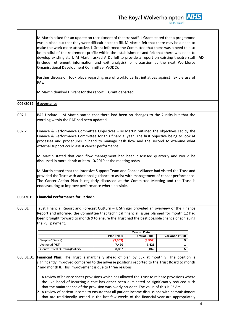|           | M Martin asked for an update on recruitment of theatre staff. L Grant stated that a programme<br>was in place but that they were difficult posts to fill. M Martin felt that there may be a need to<br>make the work more attractive. L Grant informed the Committee that there was a need to also<br>be mindful of the retirement profile within the establishment and felt that there was need to<br>develop existing staff. M Martin asked A Duffell to provide a report on existing theatre staff AD<br>(include retirement information and exit analysis) for discussion at the next Workforce<br>Organisational Development Committee (WODC).<br>Further discussion took place regarding use of workforce list initiatives against flexible use of<br>PAs.                                                                                 |                   |              |                |  |
|-----------|--------------------------------------------------------------------------------------------------------------------------------------------------------------------------------------------------------------------------------------------------------------------------------------------------------------------------------------------------------------------------------------------------------------------------------------------------------------------------------------------------------------------------------------------------------------------------------------------------------------------------------------------------------------------------------------------------------------------------------------------------------------------------------------------------------------------------------------------------|-------------------|--------------|----------------|--|
|           | M Martin thanked L Grant for the report. L Grant departed.                                                                                                                                                                                                                                                                                                                                                                                                                                                                                                                                                                                                                                                                                                                                                                                       |                   |              |                |  |
| 007/2019  | Governance                                                                                                                                                                                                                                                                                                                                                                                                                                                                                                                                                                                                                                                                                                                                                                                                                                       |                   |              |                |  |
| 007.1     | $BAF$ Update – M Martin stated that there had been no changes to the 2 risks but that the<br>wording within the BAF had been updated.                                                                                                                                                                                                                                                                                                                                                                                                                                                                                                                                                                                                                                                                                                            |                   |              |                |  |
| 007.2     | Finance & Performance Committee Objectives - M Martin outlined the objectives set by the<br>Finance & Performance Committee for this financial year. The first objective being to look at<br>processes and procedures in hand to manage cash flow and the second to examine what<br>external support could assist cancer performance.<br>M Martin stated that cash flow management had been discussed quarterly and would be<br>discussed in more depth at item 10/2019 at the meeting today.<br>M Martin stated that the Intensive Support Team and Cancer Alliance had visited the Trust and<br>provided the Trust with additional guidance to assist with management of cancer performance.<br>The Cancer Action Plan is regularly discussed at the Committee Meeting and the Trust is<br>endeavouring to improve performance where possible. |                   |              |                |  |
| 008/2019  | <b>Financial Performance for Period 9</b>                                                                                                                                                                                                                                                                                                                                                                                                                                                                                                                                                                                                                                                                                                                                                                                                        |                   |              |                |  |
| 008.01    | Trust Financial Report and Forecast Outturn - K Stringer provided an overview of the Finance<br>Report and informed the Committee that technical financial issues planned for month 12 had<br>been brought forward to month 9 to ensure the Trust had the best possible chance of achieving<br>the PSF payment.<br>Year to Date                                                                                                                                                                                                                                                                                                                                                                                                                                                                                                                  |                   |              |                |  |
|           |                                                                                                                                                                                                                                                                                                                                                                                                                                                                                                                                                                                                                                                                                                                                                                                                                                                  | <b>Plan £'000</b> | Actual £'000 | Variance £'000 |  |
|           | Surplus/(Deficit)                                                                                                                                                                                                                                                                                                                                                                                                                                                                                                                                                                                                                                                                                                                                                                                                                                | (3, 563)          | (3,559)      | 5              |  |
|           | <b>Achieved PSF</b>                                                                                                                                                                                                                                                                                                                                                                                                                                                                                                                                                                                                                                                                                                                                                                                                                              | 7,420             | 7,421        | 1              |  |
|           | Control Total Surplus/(Deficit)                                                                                                                                                                                                                                                                                                                                                                                                                                                                                                                                                                                                                                                                                                                                                                                                                  | 3,857             | 3,862        | 5              |  |
| 008.01.01 | Financial Plan: The Trust is marginally ahead of plan by £5k at month 9. The position is<br>significantly improved compared to the adverse positions reported to the Trust Board to month<br>7 and month 8. This improvement is due to three reasons:<br>1. A review of balance sheet provisions which has allowed the Trust to release provisions where<br>the likelihood of incurring a cost has either been eliminated or significantly reduced such<br>that the maintenance of the provision was overly prudent. The value of this is £3.8m.<br>2. A review of patient income to ensure that all patient income discussions with commissioners                                                                                                                                                                                               |                   |              |                |  |
|           | that are traditionally settled in the last few weeks of the financial year are appropriately                                                                                                                                                                                                                                                                                                                                                                                                                                                                                                                                                                                                                                                                                                                                                     |                   |              |                |  |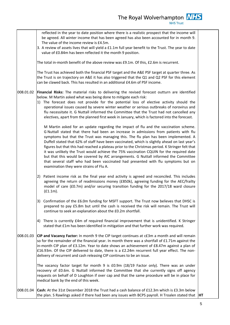008.01.02 008.01.03 008.01.04 be agreed. All winter income that has been agreed has also been accounted for in month 9. The value of the income review is £4.5m. 3. A review of assets lives that will yield a £1.1m full year benefit to the Trust. The year to date value of £0.84m has been reflected it the month 9 position. The total in-month benefit of the above review was £9.1m. Of this, £2.6m is recurrent. The Trust has achieved both the financial PSF target and the A&E PSF target at quarter three. As the Trust is on trajectory on A&E it has also triggered that the Q1 and Q2 PSF for this element can be clawed back. This has resulted in an additional £4.6m of PSF income. **Financial Risks:** The material risks to delivering the revised forecast outturn are identified below. M Martin asked what was being done to mitigate each risk: 1) The forecast does not provide for the potential loss of elective activity should the operational issues caused by severe winter weather or serious outbreaks of norovirus and flu necessitate it. G Nuttall informed the Committee that the Trust had not cancelled any electives, apart from the planned first week in January, which is factored into the forecast. M Martin asked for an update regarding the impact of flu and the vaccination scheme. G Nuttall stated that there had been an increase in admissions from patients with flu symptoms but that the Trust was managing this. The flu plan has been implemented. A Duffell stated that 62% of staff have been vaccinated, which is slightly ahead on last year's figures but that this had reached a plateau prior to the Christmas period. K Stringer felt that it was unlikely the Trust would achieve the 75% vaccination CQUIN for the required date but that this would be covered by AIC arrangements. G Nuttall informed the Committee that several staff who had been vaccinated had presented with flu symptoms but on examination they were strains of Flu A. 2) Patient income risk as the final year end activity is agreed and reconciled. This includes agreeing the return of readmissions money (£850k), agreeing funding for the AEC/frailty model of care (£0.7m) and/or securing transition funding for the 2017/18 ward closure (£1.1m). 3) Confirmation of the £6.0m funding for MSFT support. The Trust now believes that DHSC is prepared to pay £5.8m but until the cash is received the risk will remain. The Trust will continue to seek an explanation about the £0.2m shortfall. 4) There is currently £4m of required financial improvement that is unidentified. K Stringer stated that £1m has been identified in mitigation and that further work was required. **CIP and Vacancy Factor:** In month 9 the CIP target continues at c£3m a month and will remain so for the remainder of the financial year. In month there was a shortfall of £1.71m against the in-month CIP plan of £3.12m. Year to date shows an achievement of £8.47m against a plan of £16.93m. Of the CIP delivered to date, there is a £2.24m recurrent full year effect. The nondelivery of recurrent and cash releasing CIP continues to be an issue. The vacancy factor target for month 9 is £0.9m (18/19 Factor only). There was an under recovery of £0.6m. G Nuttall informed the Committee that she currently signs off agency requests on behalf of D Loughton if over cap and that the same procedure will be in place for medical bank by the end of this week. **Cash:** At the 31st December 2018 the Trust had a cash balance of £12.3m which is £3.3m below the plan. S Rawlings asked if there had been any issues with BCPS payroll. H Troalen stated that **HT**

reflected in the year to date position where there is a realistic prospect that the income will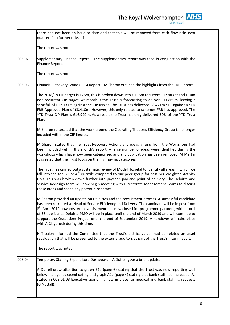The Royal Wolverhampton  $\frac{NHS}{NHS \text{ Trust}}$ 

|        | there had not been an issue to date and that this will be removed from cash flow risks next<br>quarter if no further risks arise.                                                                                                                                                                                                                                                                                                                                                                                                           |  |
|--------|---------------------------------------------------------------------------------------------------------------------------------------------------------------------------------------------------------------------------------------------------------------------------------------------------------------------------------------------------------------------------------------------------------------------------------------------------------------------------------------------------------------------------------------------|--|
|        | The report was noted.                                                                                                                                                                                                                                                                                                                                                                                                                                                                                                                       |  |
| 008.02 | Supplementary Finance Report - The supplementary report was read in conjunction with the<br>Finance Report.                                                                                                                                                                                                                                                                                                                                                                                                                                 |  |
|        | The report was noted.                                                                                                                                                                                                                                                                                                                                                                                                                                                                                                                       |  |
| 008.03 | Financial Recovery Board (FRB) Report - M Sharon outlined the highlights from the FRB Report.                                                                                                                                                                                                                                                                                                                                                                                                                                               |  |
|        | The 2018/19 CIP target is £25m, this is broken down into a £15m recurrent CIP target and £10m<br>non-recurrent CIP target. At month 9 the Trust is forecasting to deliver £11.869m, leaving a<br>shortfall of £13.131m against the CIP target. The Trust has delivered £8.471m YTD against a YTD<br>FRB Approved Plan of £8.410m. However, this only relates to schemes FRB has approved. The<br>YTD Trust CIP Plan is £16.929m. As a result the Trust has only delivered 50% of the YTD Trust<br>Plan.                                     |  |
|        | M Sharon reiterated that the work around the Operating Theatres Efficiency Group is no longer<br>included within the CIP figures.                                                                                                                                                                                                                                                                                                                                                                                                           |  |
|        | M Sharon stated that the Trust Recovery Actions and ideas arising from the Workshops had<br>been included within this month's report. A large number of ideas were identified during the<br>workshops which have now been categorised and any duplication has been removed. M Martin<br>suggested that the Trust focus on the high saving categories.                                                                                                                                                                                       |  |
|        | The Trust has carried out a systematic review of Model Hospital to identify all areas in which we<br>fall into the top $3^{rd}$ or $4^{th}$ quartile compared to our peer group for cost per Weighted Activity<br>Unit. This was broken down further into pay/non-pay and point of delivery. The Deloitte and<br>Service Redesign team will now begin meeting with Directorate Management Teams to discuss<br>these areas and scope any potential schemes.                                                                                  |  |
|        | M Sharon provided an update on Deloittes and the recruitment process. A successful candidate<br>has been recruited as Head of Service Efficiency and Delivery. The candidate will be in post from<br>$8th$ April 2019 onwards. An advertisement has now closed for programme partners, with a total<br>of 35 applicants. Deloitte PMO will be in place until the end of March 2019 and will continue to<br>support the Outpatient Project until the end of September 2019. A handover will take place<br>with A Claybrook during this time. |  |
|        | H Troalen informed the Committee that the Trust's district valuer had completed an asset<br>revaluation that will be presented to the external auditors as part of the Trust's interim audit.                                                                                                                                                                                                                                                                                                                                               |  |
|        | The report was noted.                                                                                                                                                                                                                                                                                                                                                                                                                                                                                                                       |  |
| 008.04 | Temporary Staffing Expenditure Dashboard - A Duffell gave a brief update.                                                                                                                                                                                                                                                                                                                                                                                                                                                                   |  |
|        | A Duffell drew attention to graph B1a (page 6) stating that the Trust was now reporting well<br>below the agency spend ceiling and graph A2b (page 4) stating that bank staff had increased. As<br>stated in 008.01.03 Executive sign off is now in place for medical and bank staffing requests<br>(G Nuttall).                                                                                                                                                                                                                            |  |
|        |                                                                                                                                                                                                                                                                                                                                                                                                                                                                                                                                             |  |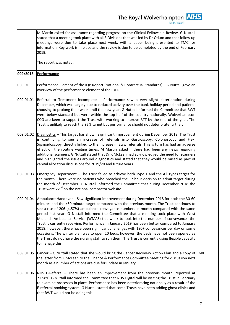|           | M Martin asked for assurance regarding progress on the Clinical Fellowship Review. G Nuttall<br>stated that a meeting took place with all 3 Divisions that was led by Dr Odum and that follow up<br>meetings were due to take place next week, with a paper being presented to TMC for<br>information. Key work is in place and the review is due to be completed by the end of February<br>2019.                                                                                                                                                                                                                                                                                                                                                                                                                                                                                           |           |
|-----------|---------------------------------------------------------------------------------------------------------------------------------------------------------------------------------------------------------------------------------------------------------------------------------------------------------------------------------------------------------------------------------------------------------------------------------------------------------------------------------------------------------------------------------------------------------------------------------------------------------------------------------------------------------------------------------------------------------------------------------------------------------------------------------------------------------------------------------------------------------------------------------------------|-----------|
|           | The report was noted.                                                                                                                                                                                                                                                                                                                                                                                                                                                                                                                                                                                                                                                                                                                                                                                                                                                                       |           |
| 009/2018  | <b>Performance</b>                                                                                                                                                                                                                                                                                                                                                                                                                                                                                                                                                                                                                                                                                                                                                                                                                                                                          |           |
| 009.01    | Performance Element of the IQP Report (National & Contractual Standards) - G Nuttall gave an<br>overview of the performance element of the IQPR.                                                                                                                                                                                                                                                                                                                                                                                                                                                                                                                                                                                                                                                                                                                                            |           |
| 009.01.01 | Referral to Treatment Incomplete - Performance saw a very slight deterioration during<br>December, which was largely due to reduced activity over the bank holiday period and patients<br>choosing to prolong their waits until the new year. G Nuttall informed the Committee that RWT<br>were below standard but were within the top half of the country nationally. Wolverhampton<br>CCG are keen to support the Trust with working to improve RTT by the end of the year. The<br>Trust is unlikely to reach the 92% target but performance should not deteriorate further.                                                                                                                                                                                                                                                                                                              |           |
| 009.01.02 | Diagnostics - This target has shown significant improvement during December 2018. The Trust<br>is continuing to see an increase of referrals into Gastroscopy, Colonoscopy and Flexi<br>Sigmoidoscopy, directly linked to the increase in 2ww referrals. This is turn has had an adverse<br>effect on the routine waiting times. M Martin asked if there had been any news regarding<br>additional scanners. G Nuttall stated that Dr K McLean had acknowledged the need for scanners<br>and highlighted the issues around diagnostics and stated that they would be raised as part of<br>capital allocation discussions for 2019/20 and future years.                                                                                                                                                                                                                                      |           |
| 009.01.03 | Emergency Department - The Trust failed to achieve both Type 1 and the All Types target for<br>the month. There were no patients who breached the 12 hour decision to admit target during<br>the month of December. G Nuttall informed the Committee that during December 2018 the<br>Trust were 22 <sup>nd</sup> on the national compactor website.                                                                                                                                                                                                                                                                                                                                                                                                                                                                                                                                        |           |
| 009.01.04 | Ambulance Handover - Saw significant improvement during December 2018 for both the 30-60<br>minutes and the >60 minute target compared with the previous month. The Trust continues to<br>see a rise of 206 (4.57%) ambulance conveyance numbers in month compared with the same<br>period last year. G Nuttall informed the Committee that a meeting took place with West<br>Midlands Ambulance Service (WMAS) this week to look into the number of conveyances the<br>Trust is currently receiving. Performance in January 2019 has been better compared to January<br>2018, however, there have been significant challenges with 180+ conveyances per day on some<br>occasions. The winter plan was to open 20 beds, however, the beds have not been opened as<br>the Trust do not have the nursing staff to run them. The Trust is currently using flexible capacity<br>to manage this. |           |
| 009.01.05 | Cancer - G Nuttall stated that she would bring the Cancer Recovery Action Plan and a copy of<br>the letter from K McLean to the Finance & Performance Committee Meeting for discussion next<br>month as a number of actions are due for update in January.                                                                                                                                                                                                                                                                                                                                                                                                                                                                                                                                                                                                                                  | <b>GN</b> |
| 009.01.06 | NHS E-Referral - There has been an improvement from the previous month, reported at<br>21.58%. G Nuttall informed the Committee that NHS Digital will be visiting the Trust in February<br>to examine processes in place. Performance has been deteriorating nationally as a result of the<br>E-referral booking system. G Nuttall stated that some Trusts have been adding ghost clinics and<br>that RWT would not be doing this.                                                                                                                                                                                                                                                                                                                                                                                                                                                          |           |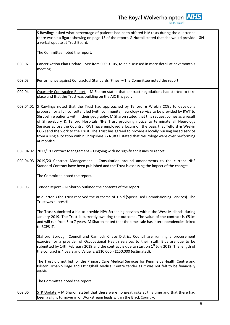|           | S Rawlings asked what percentage of patients had been offered HIV tests during the quarter as<br>there wasn't a figure showing on page 13 of the report. G Nuttall stated that she would provide<br>a verbal update at Trust Board.<br>The Committee noted the report.                                                                                                                                                                                                                                                                                                                                                                                                                                | GN |
|-----------|-------------------------------------------------------------------------------------------------------------------------------------------------------------------------------------------------------------------------------------------------------------------------------------------------------------------------------------------------------------------------------------------------------------------------------------------------------------------------------------------------------------------------------------------------------------------------------------------------------------------------------------------------------------------------------------------------------|----|
| 009.02    | Cancer Action Plan Update - See item 009.01.05, to be discussed in more detail at next month's<br>meeting.                                                                                                                                                                                                                                                                                                                                                                                                                                                                                                                                                                                            |    |
| 009.03    | Performance against Contractual Standards (Fines) - The Committee noted the report.                                                                                                                                                                                                                                                                                                                                                                                                                                                                                                                                                                                                                   |    |
| 009.04    | Quarterly Contracting Report - M Sharon stated that contract negotiations had started to take<br>place and that the Trust was building on the AIC this year.                                                                                                                                                                                                                                                                                                                                                                                                                                                                                                                                          |    |
| 009.04.01 | S Rawlings noted that the Trust had approached by Telford & Wrekin CCGs to develop a<br>proposal for a full consultant led (with community) neurology service to be provided by RWT to<br>Shropshire patients within their geography. M Sharon stated that this request comes as a result<br>of Shrewsbury & Telford Hospitals NHS Trust providing notice to terminate all Neurology<br>Services across the Country. RWT have employed a locum on the basis that Telford & Wrekin<br>CCG send the work to the Trust. The Trust has agreed to provide a locally nursing based service<br>from a single location within Shropshire. G Nuttall stated that Neurology were over performing<br>at month 9. |    |
| 009.04.02 | 2017/19 Contract Management - Ongoing with no significant issues to report.                                                                                                                                                                                                                                                                                                                                                                                                                                                                                                                                                                                                                           |    |
| 009.04.03 | 2019/20 Contract Management - Consultation around amendments to the current NHS<br>Standard Contract have been published and the Trust is assessing the impact of the changes.                                                                                                                                                                                                                                                                                                                                                                                                                                                                                                                        |    |
|           | The Committee noted the report.                                                                                                                                                                                                                                                                                                                                                                                                                                                                                                                                                                                                                                                                       |    |
| 009.05    | Tender Report - M Sharon outlined the contents of the report:                                                                                                                                                                                                                                                                                                                                                                                                                                                                                                                                                                                                                                         |    |
|           | In quarter 3 the Trust received the outcome of 1 bid (Specialised Commissioning Services). The<br>Trust was successful.                                                                                                                                                                                                                                                                                                                                                                                                                                                                                                                                                                               |    |
|           | The Trust submitted a bid to provide HPV Screening services within the West Midlands during<br>January 2019. The Trust is currently awaiting the outcome. The value of the contract is £51m<br>and will run from 5 to 7 years. M Sharon stated that the timescale has interdependencies linked<br>to BCPS IT.                                                                                                                                                                                                                                                                                                                                                                                         |    |
|           | Stafford Borough Council and Cannock Chase District Council are running a procurement<br>exercise for a provider of Occupational Health services to their staff. Bids are due to be<br>submitted by 14th February 2019 and the contract is due to start on 1 <sup>st</sup> July 2019. The length of<br>the contract is 4 years and Value is: £110,000 - £150,000 (estimated).                                                                                                                                                                                                                                                                                                                         |    |
|           | The Trust did not bid for the Primary Care Medical Services for Pennfields Health Centre and<br>Bilston Urban Village and Ettingshall Medical Centre tender as it was not felt to be financially<br>viable.                                                                                                                                                                                                                                                                                                                                                                                                                                                                                           |    |
|           | The Committee noted the report.                                                                                                                                                                                                                                                                                                                                                                                                                                                                                                                                                                                                                                                                       |    |
| 009.06    | STP Update - M Sharon stated that there were no great risks at this time and that there had<br>been a slight turnover in of Workstream leads within the Black Country.                                                                                                                                                                                                                                                                                                                                                                                                                                                                                                                                |    |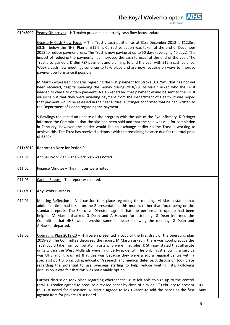| 010/2009 | Yearly Objectives - H Troalen provided a quarterly cash flow focus update.                                                                                                                                                                                                                                                                                                                                                                                                                                                                                                                                                                                                                                                                        |          |
|----------|---------------------------------------------------------------------------------------------------------------------------------------------------------------------------------------------------------------------------------------------------------------------------------------------------------------------------------------------------------------------------------------------------------------------------------------------------------------------------------------------------------------------------------------------------------------------------------------------------------------------------------------------------------------------------------------------------------------------------------------------------|----------|
|          | Quarterly Cash Flow Focus - The Trust's cash position as at 31st December 2018 is £12.3m;<br>£3.3m below the NHSI Plan of £15.6m. Corrective action was taken at the end of December<br>2018 to reduce payment runs. The Trust is now paying at up to 50 days (averaging 40 days). The<br>impact of reducing the payments has improved the cash forecast at the end of the year. The<br>Trust also gained a £4.6m PSF payment and planning to end the year with £12m cash balance.<br>Weekly cash flow meetings continue to take place and are now focusing on ways to improve<br>payment performance if possible.                                                                                                                                |          |
|          | M Martin expressed concerns regarding the PDC payment for Stroke (£3.25m) that has not yet<br>been received, despite spending the money during 2018/19. M Martin asked who the Trust<br>needed to chase to obtain payment. A Hawker stated that payment would be sent to the Trust<br>via NHSI but that they were awaiting payment from the Department of Health. It was hoped<br>that payment would be released in the near future. K Stringer confirmed that he had written to<br>the Department of Health regarding the payment.                                                                                                                                                                                                               |          |
|          | S Rawlings requested an update on the progress with the sale of the Eye Infirmary. K Stringer<br>informed the Committee that the site had been sold and that the sale was due for completion<br>in February, however, the bidder would like to exchange earlier so the Trust is working to<br>achieve this. The Trust has received a deposit with the remaining balance due for the total price<br>of £800k.                                                                                                                                                                                                                                                                                                                                      |          |
| 011/2019 | <b>Reports to Note for Period 9</b>                                                                                                                                                                                                                                                                                                                                                                                                                                                                                                                                                                                                                                                                                                               |          |
| 011.01   | Annual Work Plan - The work plan was noted.                                                                                                                                                                                                                                                                                                                                                                                                                                                                                                                                                                                                                                                                                                       |          |
| 011.02   | Finance Minutes - The minutes were noted.                                                                                                                                                                                                                                                                                                                                                                                                                                                                                                                                                                                                                                                                                                         |          |
| 011.03   | Capital Report - The report was noted.                                                                                                                                                                                                                                                                                                                                                                                                                                                                                                                                                                                                                                                                                                            |          |
| 012/2019 | <b>Any Other Business</b>                                                                                                                                                                                                                                                                                                                                                                                                                                                                                                                                                                                                                                                                                                                         |          |
| 012.01   | Meeting Reflection $-$ A discussion took place regarding the meeting. M Martin stated that<br>additional time had taken on the 2 presentations this month, rather than focus being on the<br>standard reports. The Executive Directors agreed that the performance update had been<br>helpful. M Martin thanked G Dean and A Hawker for attending. G Dean informed the<br>Committee that NHSI would provide some feedback following the meeting. G Dean and<br>A Hawker departed.                                                                                                                                                                                                                                                                 |          |
| 012.02   | Operating Plan $2019-20$ – H Troalen presented a copy of the first draft of the operating plan<br>2019-20. The Committee discussed the report. M Martin asked if there was good practice the<br>Trust could take from comparator Trusts who were in surplus. K Stringer stated that all acute<br>units within the West Midlands were in underlying deficit. The only Trust showing a surplus<br>was UHB and it was felt that this was because they were a supra regional centre with a<br>specialist portfolio including education/research and medical defence. A discussion took place<br>regarding the potential to use overseas staffing to help reduce waiting lists. Following<br>discussion it was felt that this was not a viable option. |          |
|          | Further discussion took place regarding whether the Trust felt able to sign up to the control<br>total. H Troalen agreed to produce a revised paper by close of play on $1st$ February to present<br>to Trust Board for discussion. M Martin agreed to ask J Vanes to add the paper as the first<br>agenda item for private Trust Board.                                                                                                                                                                                                                                                                                                                                                                                                          | HT<br>MМ |